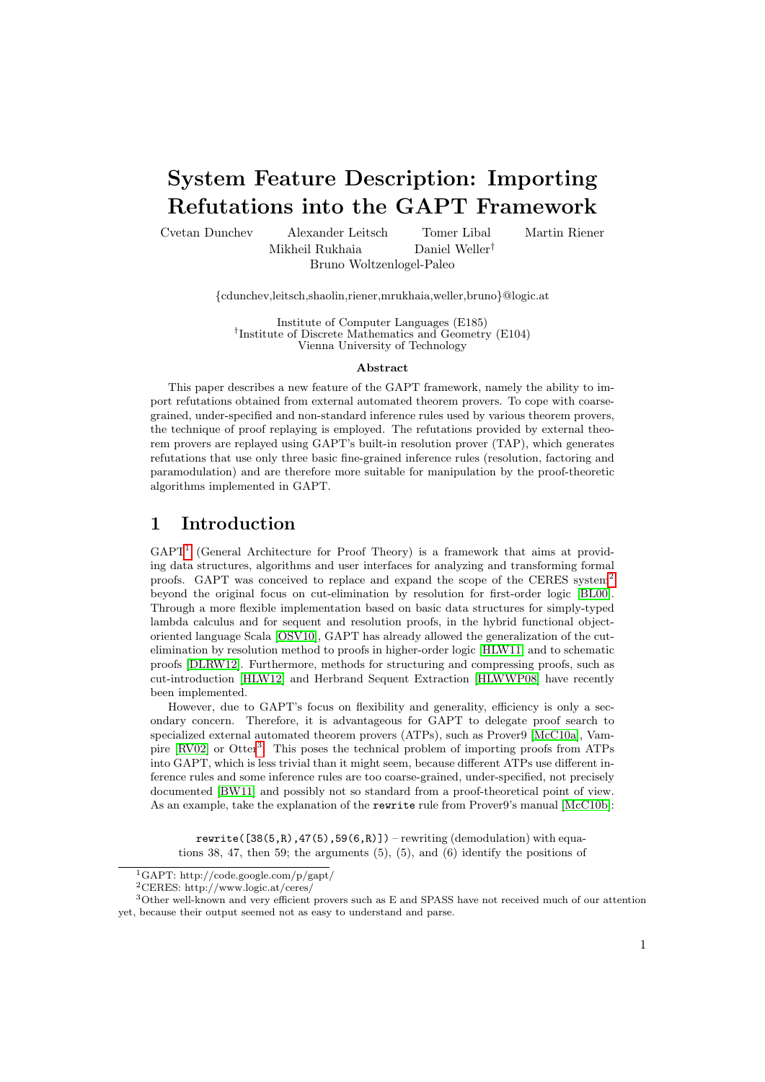# System Feature Description: Importing Refutations into the GAPT Framework

Cvetan Dunchev Alexander Leitsch Tomer Libal Martin Riener Mikheil Rukhaia Daniel Weller† Bruno Woltzenlogel-Paleo

{cdunchev,leitsch,shaolin,riener,mrukhaia,weller,bruno}@logic.at

Institute of Computer Languages (E185) † Institute of Discrete Mathematics and Geometry (E104) Vienna University of Technology

#### Abstract

This paper describes a new feature of the GAPT framework, namely the ability to import refutations obtained from external automated theorem provers. To cope with coarsegrained, under-specified and non-standard inference rules used by various theorem provers, the technique of proof replaying is employed. The refutations provided by external theorem provers are replayed using GAPT's built-in resolution prover (TAP), which generates refutations that use only three basic fine-grained inference rules (resolution, factoring and paramodulation) and are therefore more suitable for manipulation by the proof-theoretic algorithms implemented in GAPT.

## 1 Introduction

GAPT<sup>[1](#page-0-0)</sup> (General Architecture for Proof Theory) is a framework that aims at providing data structures, algorithms and user interfaces for analyzing and transforming formal proofs. GAPT was conceived to replace and expand the scope of the CERES system[2](#page-0-1) beyond the original focus on cut-elimination by resolution for first-order logic [\[BL00\]](#page-5-0). Through a more flexible implementation based on basic data structures for simply-typed lambda calculus and for sequent and resolution proofs, in the hybrid functional objectoriented language Scala [\[OSV10\]](#page-6-0), GAPT has already allowed the generalization of the cutelimination by resolution method to proofs in higher-order logic [\[HLW11\]](#page-6-1) and to schematic proofs [\[DLRW12\]](#page-6-2). Furthermore, methods for structuring and compressing proofs, such as cut-introduction [\[HLW12\]](#page-6-3) and Herbrand Sequent Extraction [\[HLWWP08\]](#page-6-4) have recently been implemented.

However, due to GAPT's focus on flexibility and generality, efficiency is only a secondary concern. Therefore, it is advantageous for GAPT to delegate proof search to specialized external automated theorem provers (ATPs), such as Prover9 [\[McC10a\]](#page-6-5), Vam-pire [\[RV02\]](#page-6-6) or Otter<sup>[3](#page-0-2)</sup>. This poses the technical problem of importing proofs from ATPs into GAPT, which is less trivial than it might seem, because different ATPs use different inference rules and some inference rules are too coarse-grained, under-specified, not precisely documented [\[BW11\]](#page-5-1) and possibly not so standard from a proof-theoretical point of view. As an example, take the explanation of the rewrite rule from Prover9's manual [\[McC10b\]](#page-6-7):

rewrite( $[38(5,R),47(5),59(6,R)]$ ) – rewriting (demodulation) with equations 38, 47, then 59; the arguments (5), (5), and (6) identify the positions of

<span id="page-0-1"></span><span id="page-0-0"></span><sup>1</sup>GAPT: http://code.google.com/p/gapt/

<span id="page-0-2"></span><sup>2</sup>CERES: http://www.logic.at/ceres/

<sup>3</sup>Other well-known and very efficient provers such as E and SPASS have not received much of our attention yet, because their output seemed not as easy to understand and parse.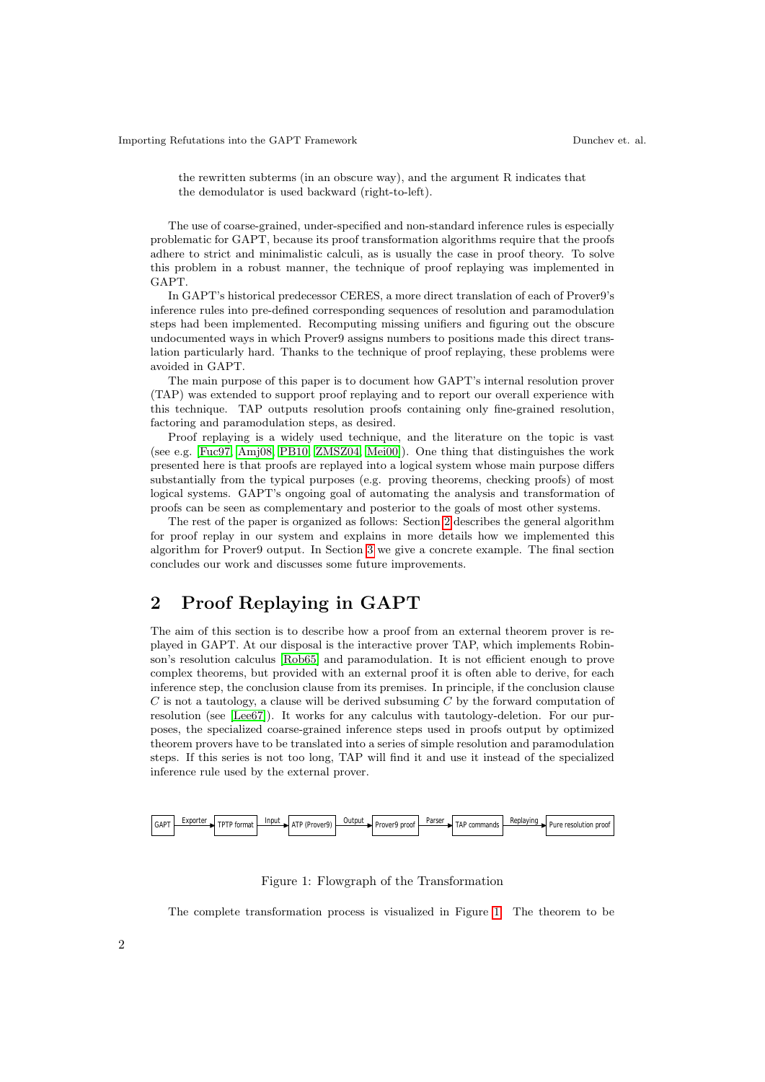the rewritten subterms (in an obscure way), and the argument R indicates that the demodulator is used backward (right-to-left).

The use of coarse-grained, under-specified and non-standard inference rules is especially problematic for GAPT, because its proof transformation algorithms require that the proofs adhere to strict and minimalistic calculi, as is usually the case in proof theory. To solve this problem in a robust manner, the technique of proof replaying was implemented in GAPT.

In GAPT's historical predecessor CERES, a more direct translation of each of Prover9's inference rules into pre-defined corresponding sequences of resolution and paramodulation steps had been implemented. Recomputing missing unifiers and figuring out the obscure undocumented ways in which Prover9 assigns numbers to positions made this direct translation particularly hard. Thanks to the technique of proof replaying, these problems were avoided in GAPT.

The main purpose of this paper is to document how GAPT's internal resolution prover (TAP) was extended to support proof replaying and to report our overall experience with this technique. TAP outputs resolution proofs containing only fine-grained resolution, factoring and paramodulation steps, as desired.

Proof replaying is a widely used technique, and the literature on the topic is vast (see e.g. [\[Fuc97,](#page-6-8) [Amj08,](#page-4-0) [PB10,](#page-6-9) [ZMSZ04,](#page-6-10) [Mei00\]](#page-6-11)). One thing that distinguishes the work presented here is that proofs are replayed into a logical system whose main purpose differs substantially from the typical purposes (e.g. proving theorems, checking proofs) of most logical systems. GAPT's ongoing goal of automating the analysis and transformation of proofs can be seen as complementary and posterior to the goals of most other systems.

The rest of the paper is organized as follows: Section [2](#page-1-0) describes the general algorithm for proof replay in our system and explains in more details how we implemented this algorithm for Prover9 output. In Section [3](#page-3-0) we give a concrete example. The final section concludes our work and discusses some future improvements.

## <span id="page-1-0"></span>2 Proof Replaying in GAPT

The aim of this section is to describe how a proof from an external theorem prover is replayed in GAPT. At our disposal is the interactive prover TAP, which implements Robinson's resolution calculus [\[Rob65\]](#page-6-12) and paramodulation. It is not efficient enough to prove complex theorems, but provided with an external proof it is often able to derive, for each inference step, the conclusion clause from its premises. In principle, if the conclusion clause  $C$  is not a tautology, a clause will be derived subsuming  $C$  by the forward computation of resolution (see [\[Lee67\]](#page-6-13)). It works for any calculus with tautology-deletion. For our purposes, the specialized coarse-grained inference steps used in proofs output by optimized theorem provers have to be translated into a series of simple resolution and paramodulation steps. If this series is not too long, TAP will find it and use it instead of the specialized inference rule used by the external prover.



<span id="page-1-1"></span>Figure 1: Flowgraph of the Transformation

The complete transformation process is visualized in Figure [1.](#page-1-1) The theorem to be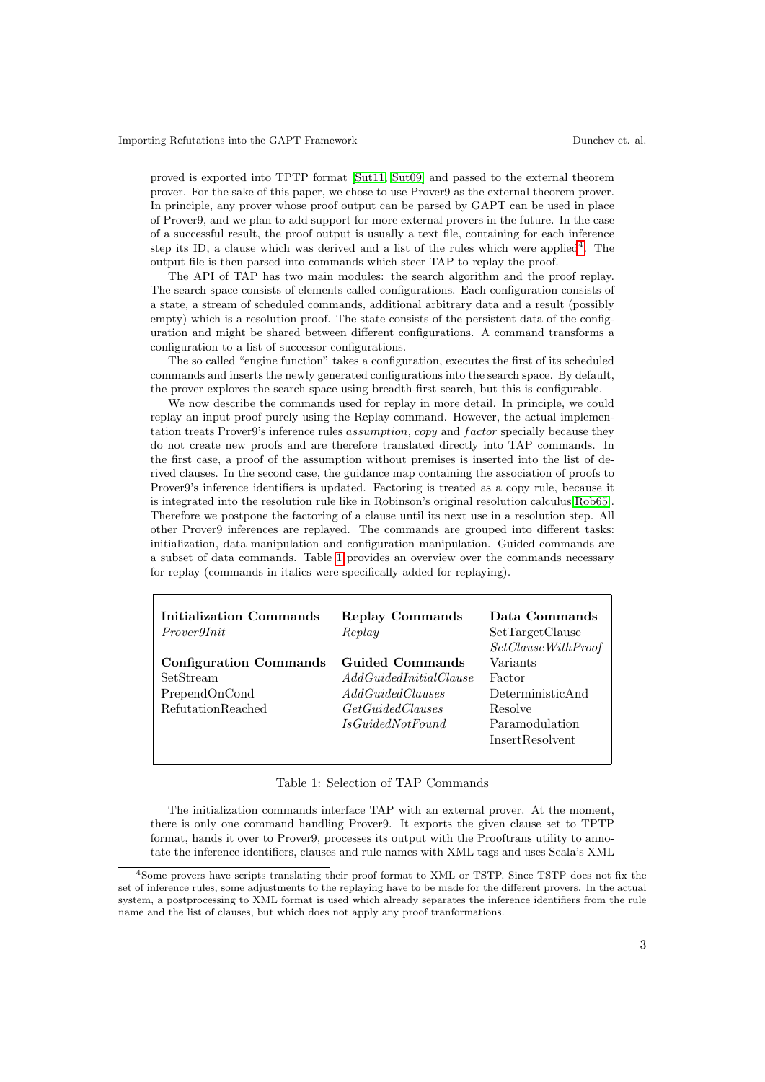proved is exported into TPTP format [\[Sut11,](#page-6-14) [Sut09\]](#page-6-15) and passed to the external theorem prover. For the sake of this paper, we chose to use Prover9 as the external theorem prover. In principle, any prover whose proof output can be parsed by GAPT can be used in place of Prover9, and we plan to add support for more external provers in the future. In the case of a successful result, the proof output is usually a text file, containing for each inference step its ID, a clause which was derived and a list of the rules which were applied<sup>[4](#page-2-0)</sup>. The output file is then parsed into commands which steer TAP to replay the proof.

The API of TAP has two main modules: the search algorithm and the proof replay. The search space consists of elements called configurations. Each configuration consists of a state, a stream of scheduled commands, additional arbitrary data and a result (possibly empty) which is a resolution proof. The state consists of the persistent data of the configuration and might be shared between different configurations. A command transforms a configuration to a list of successor configurations.

The so called "engine function" takes a configuration, executes the first of its scheduled commands and inserts the newly generated configurations into the search space. By default, the prover explores the search space using breadth-first search, but this is configurable.

We now describe the commands used for replay in more detail. In principle, we could replay an input proof purely using the Replay command. However, the actual implementation treats Prover9's inference rules *assumption, copy* and *factor* specially because they do not create new proofs and are therefore translated directly into TAP commands. In the first case, a proof of the assumption without premises is inserted into the list of derived clauses. In the second case, the guidance map containing the association of proofs to Prover9's inference identifiers is updated. Factoring is treated as a copy rule, because it is integrated into the resolution rule like in Robinson's original resolution calculus[\[Rob65\]](#page-6-12). Therefore we postpone the factoring of a clause until its next use in a resolution step. All other Prover9 inferences are replayed. The commands are grouped into different tasks: initialization, data manipulation and configuration manipulation. Guided commands are a subset of data commands. Table [1](#page-2-1) provides an overview over the commands necessary for replay (commands in italics were specifically added for replaying).

| Initialization Commands<br><i>Prover9Init</i> | <b>Replay Commands</b><br>Replay | Data Commands<br>SetTargetClause<br>$SetCause$ With Proof |
|-----------------------------------------------|----------------------------------|-----------------------------------------------------------|
| <b>Configuration Commands</b>                 | Guided Commands                  | Variants                                                  |
| SetStream                                     | AddGuidedInitialClause           | Factor                                                    |
| PrependOnCond                                 | AddGuided Clauses                | DeterministicAnd                                          |
| <b>RefutationReached</b>                      | <i>GetGuidedClauses</i>          | Resolve                                                   |
|                                               | <i>IsGuidedNotFound</i>          | Paramodulation                                            |
|                                               |                                  | <b>InsertResolvent</b>                                    |
|                                               |                                  |                                                           |

#### <span id="page-2-1"></span>Table 1: Selection of TAP Commands

The initialization commands interface TAP with an external prover. At the moment, there is only one command handling Prover9. It exports the given clause set to TPTP format, hands it over to Prover9, processes its output with the Prooftrans utility to annotate the inference identifiers, clauses and rule names with XML tags and uses Scala's XML

<span id="page-2-0"></span><sup>4</sup>Some provers have scripts translating their proof format to XML or TSTP. Since TSTP does not fix the set of inference rules, some adjustments to the replaying have to be made for the different provers. In the actual system, a postprocessing to XML format is used which already separates the inference identifiers from the rule name and the list of clauses, but which does not apply any proof tranformations.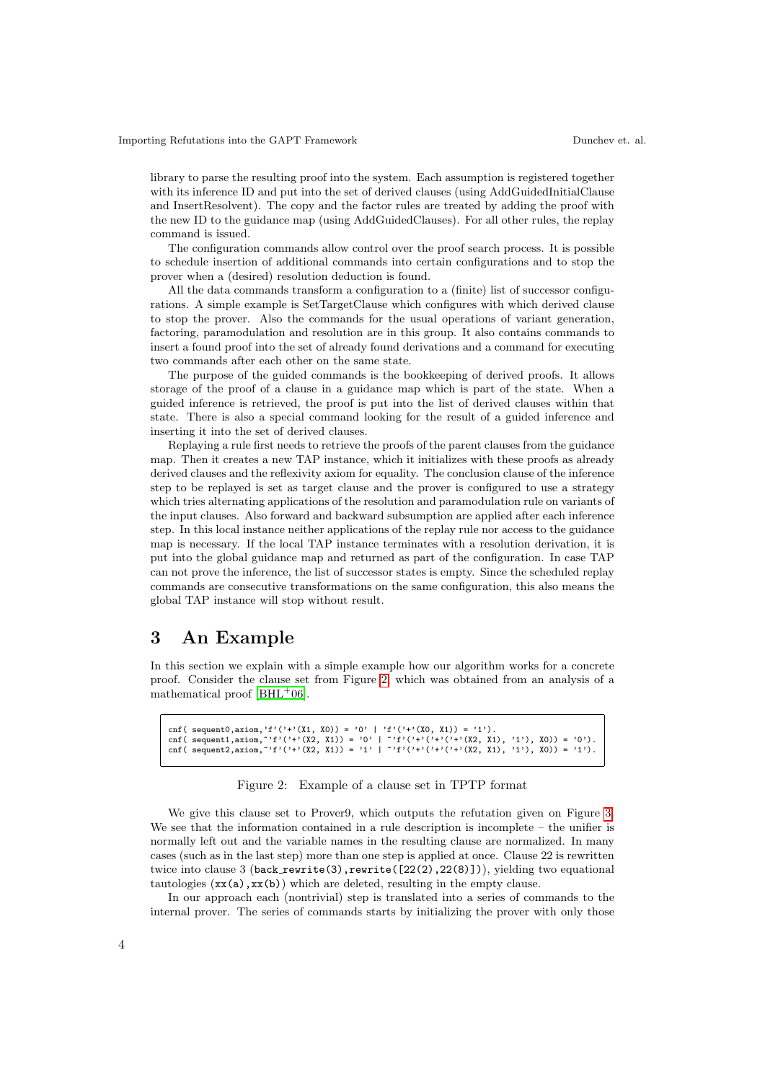library to parse the resulting proof into the system. Each assumption is registered together with its inference ID and put into the set of derived clauses (using AddGuidedInitialClause and InsertResolvent). The copy and the factor rules are treated by adding the proof with the new ID to the guidance map (using AddGuidedClauses). For all other rules, the replay command is issued.

The configuration commands allow control over the proof search process. It is possible to schedule insertion of additional commands into certain configurations and to stop the prover when a (desired) resolution deduction is found.

All the data commands transform a configuration to a (finite) list of successor configurations. A simple example is SetTargetClause which configures with which derived clause to stop the prover. Also the commands for the usual operations of variant generation, factoring, paramodulation and resolution are in this group. It also contains commands to insert a found proof into the set of already found derivations and a command for executing two commands after each other on the same state.

The purpose of the guided commands is the bookkeeping of derived proofs. It allows storage of the proof of a clause in a guidance map which is part of the state. When a guided inference is retrieved, the proof is put into the list of derived clauses within that state. There is also a special command looking for the result of a guided inference and inserting it into the set of derived clauses.

Replaying a rule first needs to retrieve the proofs of the parent clauses from the guidance map. Then it creates a new TAP instance, which it initializes with these proofs as already derived clauses and the reflexivity axiom for equality. The conclusion clause of the inference step to be replayed is set as target clause and the prover is configured to use a strategy which tries alternating applications of the resolution and paramodulation rule on variants of the input clauses. Also forward and backward subsumption are applied after each inference step. In this local instance neither applications of the replay rule nor access to the guidance map is necessary. If the local TAP instance terminates with a resolution derivation, it is put into the global guidance map and returned as part of the configuration. In case TAP can not prove the inference, the list of successor states is empty. Since the scheduled replay commands are consecutive transformations on the same configuration, this also means the global TAP instance will stop without result.

## <span id="page-3-0"></span>3 An Example

In this section we explain with a simple example how our algorithm works for a concrete proof. Consider the clause set from Figure [2,](#page-3-1) which was obtained from an analysis of a mathematical proof  $[BHL<sup>+</sup>06]$  $[BHL<sup>+</sup>06]$ .

```
cnf( sequent0,axiom,'f'('+'(X1, X0)) = '0' | 'f'('+'(X0, X1)) = '1').
cnf( sequent1,axiom,~'f'('+'(X2, X1)) = '0' | ~'f'('+'('+'('+'('+'(X2, X1), '1'), X0)) = '0').<br>cnf( sequent2,axiom,~'f'('+'(X2, X1)) = '1' | ~'f'('+'('+'('+'('+'(X2, X1), '1'), X0)) = '1').
```
#### <span id="page-3-1"></span>Figure 2: Example of a clause set in TPTP format

We give this clause set to Prover9, which outputs the refutation given on Figure [3.](#page-4-2) We see that the information contained in a rule description is incomplete – the unifier is normally left out and the variable names in the resulting clause are normalized. In many cases (such as in the last step) more than one step is applied at once. Clause 22 is rewritten twice into clause 3 (back rewrite(3), rewrite( $[22(2),22(8)]$ )), yielding two equational tautologies  $(\mathbf{xx}(\mathsf{a}), \mathbf{xx}(\mathsf{b}))$  which are deleted, resulting in the empty clause.

In our approach each (nontrivial) step is translated into a series of commands to the internal prover. The series of commands starts by initializing the prover with only those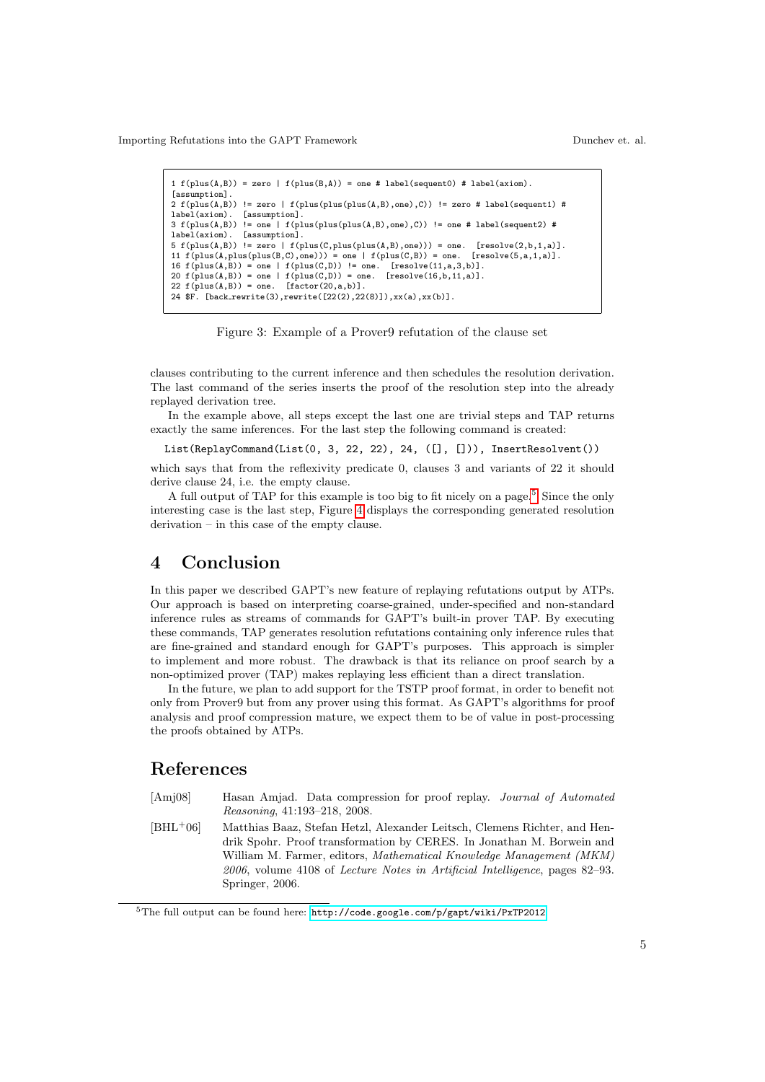Importing Refutations into the GAPT Framework Dunchev et. al.

```
1 f(plus(A,B)) = zero \mid f(plus(B,A)) = one \# label(sequent0) \# label(axiom).[assumption]
2 f(plus(A,B)) != zero | f(plus(plus(plus(A,B),one),C)) != zero # label(sequent1) # label(axiom). [assumption].
                 [assumption].
3 f(plus(A,B)) != one | f(plus(plus(plus(A,B),one),C)) != one # label(sequent2) #
label(axiom). [assumption].
5 f(plus(A,B)) != zero | f(plus(C,plus(plus(A,B),one))) = one. [resolve(2,b,1,a)].<br>11 f(plus(A,plus(plus(B,C),one))) = one | f(plus(C,B)) = one. [resolve(5,a,1,a)].
11 f(plus(A,plus(plus(B,C),one))) = one | f(plus(C,B)) = one.16 f(plus(A,B)) = one \mid f(plus(C,D)) := one. [resolve(11,a,3,b)].
20 f(plus(A,B)) = one | f(plus(C,D)) = one. [resolve(16,b,11,a)].
22 f(plus(A,B)) = one. [factor(20,a,b)].
24 $F. [back rewrite(3),rewrite([22(2),22(8)]),xx(a),xx(b)].
```
<span id="page-4-2"></span>

clauses contributing to the current inference and then schedules the resolution derivation. The last command of the series inserts the proof of the resolution step into the already replayed derivation tree.

In the example above, all steps except the last one are trivial steps and TAP returns exactly the same inferences. For the last step the following command is created:

List(ReplayCommand(List(0, 3, 22, 22), 24, ([], [])), InsertResolvent())

which says that from the reflexivity predicate 0, clauses 3 and variants of 22 it should derive clause 24, i.e. the empty clause.

A full output of TAP for this example is too big to fit nicely on a page.<sup>[5](#page-4-3)</sup> Since the only interesting case is the last step, Figure [4](#page-5-2) displays the corresponding generated resolution derivation – in this case of the empty clause.

## 4 Conclusion

In this paper we described GAPT's new feature of replaying refutations output by ATPs. Our approach is based on interpreting coarse-grained, under-specified and non-standard inference rules as streams of commands for GAPT's built-in prover TAP. By executing these commands, TAP generates resolution refutations containing only inference rules that are fine-grained and standard enough for GAPT's purposes. This approach is simpler to implement and more robust. The drawback is that its reliance on proof search by a non-optimized prover (TAP) makes replaying less efficient than a direct translation.

In the future, we plan to add support for the TSTP proof format, in order to benefit not only from Prover9 but from any prover using this format. As GAPT's algorithms for proof analysis and proof compression mature, we expect them to be of value in post-processing the proofs obtained by ATPs.

### References

- <span id="page-4-0"></span>[Amj08] Hasan Amjad. Data compression for proof replay. Journal of Automated Reasoning, 41:193–218, 2008.
- <span id="page-4-1"></span>[BHL<sup>+</sup>06] Matthias Baaz, Stefan Hetzl, Alexander Leitsch, Clemens Richter, and Hendrik Spohr. Proof transformation by CERES. In Jonathan M. Borwein and William M. Farmer, editors, Mathematical Knowledge Management (MKM) 2006, volume 4108 of Lecture Notes in Artificial Intelligence, pages 82–93. Springer, 2006.

<span id="page-4-3"></span><sup>5</sup>The full output can be found here: <http://code.google.com/p/gapt/wiki/PxTP2012>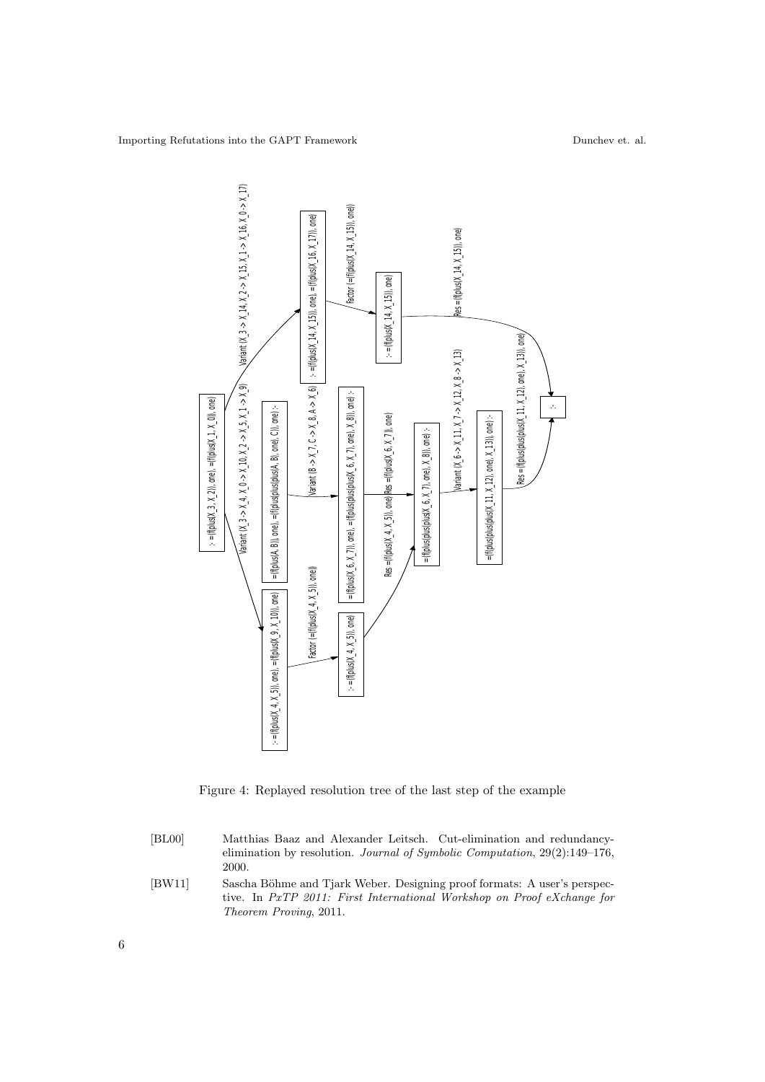

<span id="page-5-2"></span>Figure 4: Replayed resolution tree of the last step of the example

- <span id="page-5-0"></span>[BL00] Matthias Baaz and Alexander Leitsch. Cut-elimination and redundancyelimination by resolution. Journal of Symbolic Computation, 29(2):149–176, 2000.
- <span id="page-5-1"></span>[BW11] Sascha Böhme and Tjark Weber. Designing proof formats: A user's perspective. In PxTP 2011: First International Workshop on Proof eXchange for Theorem Proving, 2011.